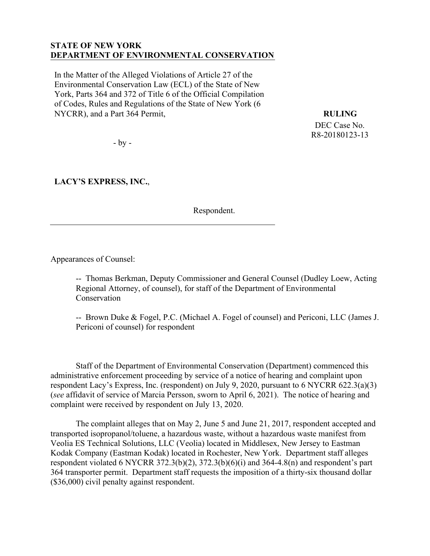#### **STATE OF NEW YORK DEPARTMENT OF ENVIRONMENTAL CONSERVATION**

In the Matter of the Alleged Violations of Article 27 of the Environmental Conservation Law (ECL) of the State of New York, Parts 364 and 372 of Title 6 of the Official Compilation of Codes, Rules and Regulations of the State of New York (6 NYCRR), and a Part 364 Permit,

**RULING** 

DEC Case No. R8-20180123-13

- by -

**LACY'S EXPRESS, INC.**,

Respondent.

Appearances of Counsel:

-- Thomas Berkman, Deputy Commissioner and General Counsel (Dudley Loew, Acting Regional Attorney, of counsel), for staff of the Department of Environmental Conservation

-- Brown Duke & Fogel, P.C. (Michael A. Fogel of counsel) and Periconi, LLC (James J. Periconi of counsel) for respondent

Staff of the Department of Environmental Conservation (Department) commenced this administrative enforcement proceeding by service of a notice of hearing and complaint upon respondent Lacy's Express, Inc. (respondent) on July 9, 2020, pursuant to 6 NYCRR 622.3(a)(3) (*see* affidavit of service of Marcia Persson, sworn to April 6, 2021). The notice of hearing and complaint were received by respondent on July 13, 2020.

The complaint alleges that on May 2, June 5 and June 21, 2017, respondent accepted and transported isopropanol/toluene, a hazardous waste, without a hazardous waste manifest from Veolia ES Technical Solutions, LLC (Veolia) located in Middlesex, New Jersey to Eastman Kodak Company (Eastman Kodak) located in Rochester, New York. Department staff alleges respondent violated 6 NYCRR 372.3(b)(2), 372.3(b)(6)(i) and 364-4.8(n) and respondent's part 364 transporter permit. Department staff requests the imposition of a thirty-six thousand dollar (\$36,000) civil penalty against respondent.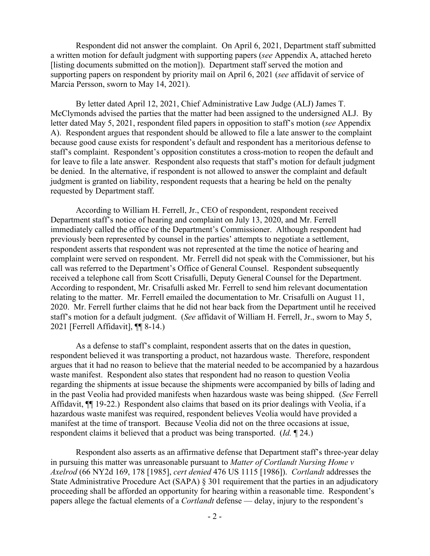Respondent did not answer the complaint. On April 6, 2021, Department staff submitted a written motion for default judgment with supporting papers (*see* Appendix A, attached hereto [listing documents submitted on the motion]). Department staff served the motion and supporting papers on respondent by priority mail on April 6, 2021 (*see* affidavit of service of Marcia Persson, sworn to May 14, 2021).

By letter dated April 12, 2021, Chief Administrative Law Judge (ALJ) James T. McClymonds advised the parties that the matter had been assigned to the undersigned ALJ. By letter dated May 5, 2021, respondent filed papers in opposition to staff's motion (*see* Appendix A). Respondent argues that respondent should be allowed to file a late answer to the complaint because good cause exists for respondent's default and respondent has a meritorious defense to staff's complaint. Respondent's opposition constitutes a cross-motion to reopen the default and for leave to file a late answer. Respondent also requests that staff's motion for default judgment be denied. In the alternative, if respondent is not allowed to answer the complaint and default judgment is granted on liability, respondent requests that a hearing be held on the penalty requested by Department staff.

According to William H. Ferrell, Jr., CEO of respondent, respondent received Department staff's notice of hearing and complaint on July 13, 2020, and Mr. Ferrell immediately called the office of the Department's Commissioner. Although respondent had previously been represented by counsel in the parties' attempts to negotiate a settlement, respondent asserts that respondent was not represented at the time the notice of hearing and complaint were served on respondent. Mr. Ferrell did not speak with the Commissioner, but his call was referred to the Department's Office of General Counsel. Respondent subsequently received a telephone call from Scott Crisafulli, Deputy General Counsel for the Department. According to respondent, Mr. Crisafulli asked Mr. Ferrell to send him relevant documentation relating to the matter. Mr. Ferrell emailed the documentation to Mr. Crisafulli on August 11, 2020. Mr. Ferrell further claims that he did not hear back from the Department until he received staff's motion for a default judgment. (*See* affidavit of William H. Ferrell, Jr., sworn to May 5, 2021 [Ferrell Affidavit], ¶¶ 8-14.)

As a defense to staff's complaint, respondent asserts that on the dates in question, respondent believed it was transporting a product, not hazardous waste. Therefore, respondent argues that it had no reason to believe that the material needed to be accompanied by a hazardous waste manifest. Respondent also states that respondent had no reason to question Veolia regarding the shipments at issue because the shipments were accompanied by bills of lading and in the past Veolia had provided manifests when hazardous waste was being shipped. (*See* Ferrell Affidavit, ¶¶ 19-22.) Respondent also claims that based on its prior dealings with Veolia, if a hazardous waste manifest was required, respondent believes Veolia would have provided a manifest at the time of transport. Because Veolia did not on the three occasions at issue, respondent claims it believed that a product was being transported. (*Id.* ¶ 24.)

Respondent also asserts as an affirmative defense that Department staff's three-year delay in pursuing this matter was unreasonable pursuant to *Matter of Cortlandt Nursing Home v Axelrod* (66 NY2d 169, 178 [1985], *cert denied* 476 US 1115 [1986]). *Cortlandt* addresses the State Administrative Procedure Act (SAPA) § 301 requirement that the parties in an adjudicatory proceeding shall be afforded an opportunity for hearing within a reasonable time. Respondent's papers allege the factual elements of a *Cortlandt* defense — delay, injury to the respondent's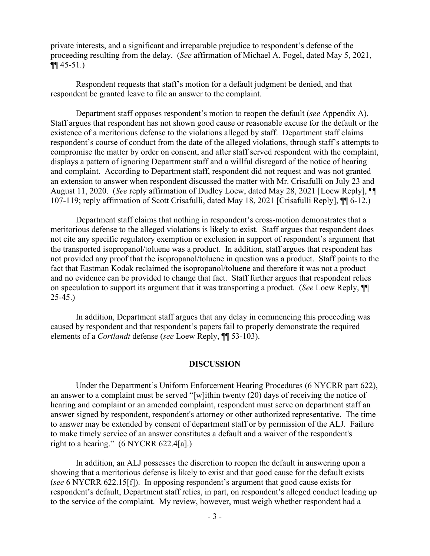private interests, and a significant and irreparable prejudice to respondent's defense of the proceeding resulting from the delay. (*See* affirmation of Michael A. Fogel, dated May 5, 2021,  $\P\P$  45-51.)

Respondent requests that staff's motion for a default judgment be denied, and that respondent be granted leave to file an answer to the complaint.

Department staff opposes respondent's motion to reopen the default (*see* Appendix A). Staff argues that respondent has not shown good cause or reasonable excuse for the default or the existence of a meritorious defense to the violations alleged by staff. Department staff claims respondent's course of conduct from the date of the alleged violations, through staff's attempts to compromise the matter by order on consent, and after staff served respondent with the complaint, displays a pattern of ignoring Department staff and a willful disregard of the notice of hearing and complaint. According to Department staff, respondent did not request and was not granted an extension to answer when respondent discussed the matter with Mr. Crisafulli on July 23 and August 11, 2020. (*See* reply affirmation of Dudley Loew, dated May 28, 2021 [Loew Reply], ¶¶ 107-119; reply affirmation of Scott Crisafulli, dated May 18, 2021 [Crisafulli Reply], ¶¶ 6-12.)

Department staff claims that nothing in respondent's cross-motion demonstrates that a meritorious defense to the alleged violations is likely to exist. Staff argues that respondent does not cite any specific regulatory exemption or exclusion in support of respondent's argument that the transported isopropanol/toluene was a product. In addition, staff argues that respondent has not provided any proof that the isopropanol/toluene in question was a product. Staff points to the fact that Eastman Kodak reclaimed the isopropanol/toluene and therefore it was not a product and no evidence can be provided to change that fact. Staff further argues that respondent relies on speculation to support its argument that it was transporting a product. (*See* Loew Reply, ¶¶ 25-45.)

In addition, Department staff argues that any delay in commencing this proceeding was caused by respondent and that respondent's papers fail to properly demonstrate the required elements of a *Cortlandt* defense (*see* Loew Reply, ¶¶ 53-103).

#### **DISCUSSION**

Under the Department's Uniform Enforcement Hearing Procedures (6 NYCRR part 622), an answer to a complaint must be served "[w]ithin twenty (20) days of receiving the notice of hearing and complaint or an amended complaint, respondent must serve on department staff an answer signed by respondent, respondent's attorney or other authorized representative. The time to answer may be extended by consent of department staff or by permission of the ALJ. Failure to make timely service of an answer constitutes a default and a waiver of the respondent's right to a hearing." (6 NYCRR 622.4[a].)

In addition, an ALJ possesses the discretion to reopen the default in answering upon a showing that a meritorious defense is likely to exist and that good cause for the default exists (*see* 6 NYCRR 622.15[f]). In opposing respondent's argument that good cause exists for respondent's default, Department staff relies, in part, on respondent's alleged conduct leading up to the service of the complaint. My review, however, must weigh whether respondent had a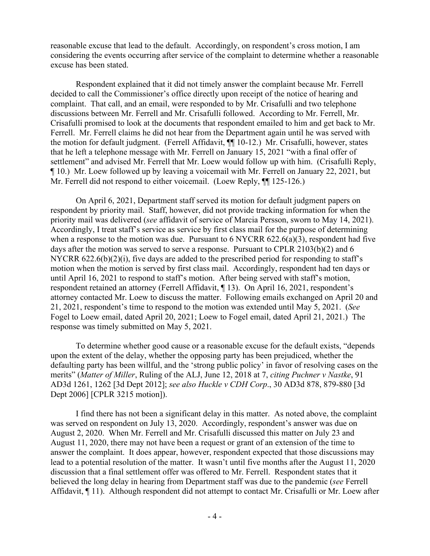reasonable excuse that lead to the default. Accordingly, on respondent's cross motion, I am considering the events occurring after service of the complaint to determine whether a reasonable excuse has been stated.

Respondent explained that it did not timely answer the complaint because Mr. Ferrell decided to call the Commissioner's office directly upon receipt of the notice of hearing and complaint. That call, and an email, were responded to by Mr. Crisafulli and two telephone discussions between Mr. Ferrell and Mr. Crisafulli followed. According to Mr. Ferrell, Mr. Crisafulli promised to look at the documents that respondent emailed to him and get back to Mr. Ferrell. Mr. Ferrell claims he did not hear from the Department again until he was served with the motion for default judgment. (Ferrell Affidavit, ¶¶ 10-12.) Mr. Crisafulli, however, states that he left a telephone message with Mr. Ferrell on January 15, 2021 "with a final offer of settlement" and advised Mr. Ferrell that Mr. Loew would follow up with him. (Crisafulli Reply, ¶ 10.) Mr. Loew followed up by leaving a voicemail with Mr. Ferrell on January 22, 2021, but Mr. Ferrell did not respond to either voicemail. (Loew Reply,  $\P$  125-126.)

On April 6, 2021, Department staff served its motion for default judgment papers on respondent by priority mail. Staff, however, did not provide tracking information for when the priority mail was delivered (*see* affidavit of service of Marcia Persson, sworn to May 14, 2021). Accordingly, I treat staff's service as service by first class mail for the purpose of determining when a response to the motion was due. Pursuant to  $6$  NYCRR  $622.6(a)(3)$ , respondent had five days after the motion was served to serve a response. Pursuant to CPLR 2103(b)(2) and 6 NYCRR 622.6(b)(2)(i), five days are added to the prescribed period for responding to staff's motion when the motion is served by first class mail. Accordingly, respondent had ten days or until April 16, 2021 to respond to staff's motion. After being served with staff's motion, respondent retained an attorney (Ferrell Affidavit, ¶ 13). On April 16, 2021, respondent's attorney contacted Mr. Loew to discuss the matter. Following emails exchanged on April 20 and 21, 2021, respondent's time to respond to the motion was extended until May 5, 2021. (*See* Fogel to Loew email, dated April 20, 2021; Loew to Fogel email, dated April 21, 2021.) The response was timely submitted on May 5, 2021.

To determine whether good cause or a reasonable excuse for the default exists, "depends upon the extent of the delay, whether the opposing party has been prejudiced, whether the defaulting party has been willful, and the 'strong public policy' in favor of resolving cases on the merits" (*Matter of Miller*, Ruling of the ALJ, June 12, 2018 at 7, *citing Puchner v Nastke*, 91 AD3d 1261, 1262 [3d Dept 2012]; *see also Huckle v CDH Corp*., 30 AD3d 878, 879-880 [3d Dept 2006] [CPLR 3215 motion]).

I find there has not been a significant delay in this matter. As noted above, the complaint was served on respondent on July 13, 2020. Accordingly, respondent's answer was due on August 2, 2020. When Mr. Ferrell and Mr. Crisafulli discussed this matter on July 23 and August 11, 2020, there may not have been a request or grant of an extension of the time to answer the complaint. It does appear, however, respondent expected that those discussions may lead to a potential resolution of the matter. It wasn't until five months after the August 11, 2020 discussion that a final settlement offer was offered to Mr. Ferrell. Respondent states that it believed the long delay in hearing from Department staff was due to the pandemic (*see* Ferrell Affidavit, ¶ 11). Although respondent did not attempt to contact Mr. Crisafulli or Mr. Loew after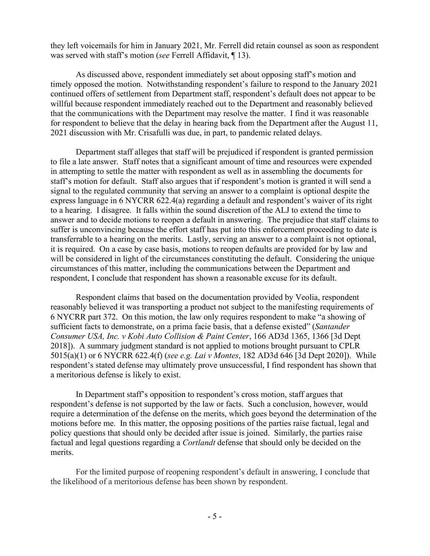they left voicemails for him in January 2021, Mr. Ferrell did retain counsel as soon as respondent was served with staff's motion (*see* Ferrell Affidavit, ¶ 13).

As discussed above, respondent immediately set about opposing staff's motion and timely opposed the motion. Notwithstanding respondent's failure to respond to the January 2021 continued offers of settlement from Department staff, respondent's default does not appear to be willful because respondent immediately reached out to the Department and reasonably believed that the communications with the Department may resolve the matter. I find it was reasonable for respondent to believe that the delay in hearing back from the Department after the August 11, 2021 discussion with Mr. Crisafulli was due, in part, to pandemic related delays.

Department staff alleges that staff will be prejudiced if respondent is granted permission to file a late answer. Staff notes that a significant amount of time and resources were expended in attempting to settle the matter with respondent as well as in assembling the documents for staff's motion for default. Staff also argues that if respondent's motion is granted it will send a signal to the regulated community that serving an answer to a complaint is optional despite the express language in 6 NYCRR 622.4(a) regarding a default and respondent's waiver of its right to a hearing. I disagree. It falls within the sound discretion of the ALJ to extend the time to answer and to decide motions to reopen a default in answering. The prejudice that staff claims to suffer is unconvincing because the effort staff has put into this enforcement proceeding to date is transferrable to a hearing on the merits. Lastly, serving an answer to a complaint is not optional, it is required. On a case by case basis, motions to reopen defaults are provided for by law and will be considered in light of the circumstances constituting the default. Considering the unique circumstances of this matter, including the communications between the Department and respondent, I conclude that respondent has shown a reasonable excuse for its default.

Respondent claims that based on the documentation provided by Veolia, respondent reasonably believed it was transporting a product not subject to the manifesting requirements of 6 NYCRR part 372. On this motion, the law only requires respondent to make "a showing of sufficient facts to demonstrate, on a prima facie basis, that a defense existed" (*Santander Consumer USA, Inc. v Kobi Auto Collision & Paint Center*, 166 AD3d 1365, 1366 [3d Dept 2018]). A summary judgment standard is not applied to motions brought pursuant to CPLR 5015(a)(1) or 6 NYCRR 622.4(f) (*see e.g. Lai v Montes*, 182 AD3d 646 [3d Dept 2020]). While respondent's stated defense may ultimately prove unsuccessful, I find respondent has shown that a meritorious defense is likely to exist.

In Department staff's opposition to respondent's cross motion, staff argues that respondent's defense is not supported by the law or facts. Such a conclusion, however, would require a determination of the defense on the merits, which goes beyond the determination of the motions before me. In this matter, the opposing positions of the parties raise factual, legal and policy questions that should only be decided after issue is joined. Similarly, the parties raise factual and legal questions regarding a *Cortlandt* defense that should only be decided on the merits.

For the limited purpose of reopening respondent's default in answering, I conclude that the likelihood of a meritorious defense has been shown by respondent.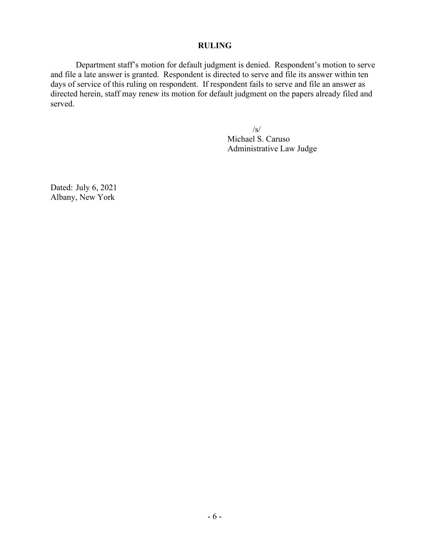#### **RULING**

Department staff's motion for default judgment is denied. Respondent's motion to serve and file a late answer is granted. Respondent is directed to serve and file its answer within ten days of service of this ruling on respondent. If respondent fails to serve and file an answer as directed herein, staff may renew its motion for default judgment on the papers already filed and served.

> /s/ Michael S. Caruso Administrative Law Judge

Dated: July 6, 2021 Albany, New York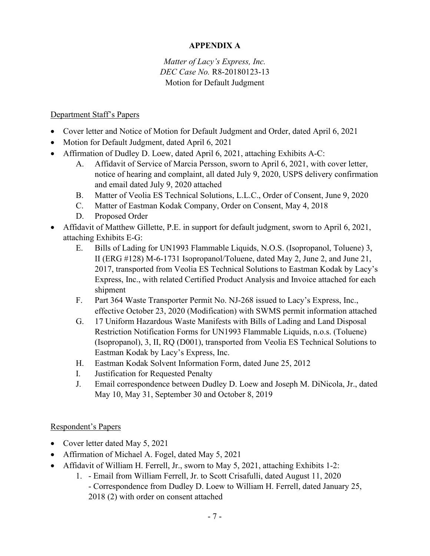## **APPENDIX A**

## *Matter of Lacy's Express, Inc. DEC Case No.* R8-20180123-13 Motion for Default Judgment

### Department Staff's Papers

- Cover letter and Notice of Motion for Default Judgment and Order, dated April 6, 2021
- Motion for Default Judgment, dated April 6, 2021
- Affirmation of Dudley D. Loew, dated April 6, 2021, attaching Exhibits A-C:
	- A. Affidavit of Service of Marcia Persson, sworn to April 6, 2021, with cover letter, notice of hearing and complaint, all dated July 9, 2020, USPS delivery confirmation and email dated July 9, 2020 attached
	- B. Matter of Veolia ES Technical Solutions, L.L.C., Order of Consent, June 9, 2020
	- C. Matter of Eastman Kodak Company, Order on Consent, May 4, 2018
	- D. Proposed Order
- Affidavit of Matthew Gillette, P.E. in support for default judgment, sworn to April 6, 2021, attaching Exhibits E-G:
	- E. Bills of Lading for UN1993 Flammable Liquids, N.O.S. (Isopropanol, Toluene) 3, II (ERG #128) M-6-1731 Isopropanol/Toluene, dated May 2, June 2, and June 21, 2017, transported from Veolia ES Technical Solutions to Eastman Kodak by Lacy's Express, Inc., with related Certified Product Analysis and Invoice attached for each shipment
	- F. Part 364 Waste Transporter Permit No. NJ-268 issued to Lacy's Express, Inc., effective October 23, 2020 (Modification) with SWMS permit information attached
	- G. 17 Uniform Hazardous Waste Manifests with Bills of Lading and Land Disposal Restriction Notification Forms for UN1993 Flammable Liquids, n.o.s. (Toluene) (Isopropanol), 3, II, RQ (D001), transported from Veolia ES Technical Solutions to Eastman Kodak by Lacy's Express, Inc.
	- H. Eastman Kodak Solvent Information Form, dated June 25, 2012
	- I. Justification for Requested Penalty
	- J. Email correspondence between Dudley D. Loew and Joseph M. DiNicola, Jr., dated May 10, May 31, September 30 and October 8, 2019

#### Respondent's Papers

- Cover letter dated May 5, 2021
- Affirmation of Michael A. Fogel, dated May 5, 2021
- Affidavit of William H. Ferrell, Jr., sworn to May 5, 2021, attaching Exhibits 1-2:
	- 1. Email from William Ferrell, Jr. to Scott Crisafulli, dated August 11, 2020 - Correspondence from Dudley D. Loew to William H. Ferrell, dated January 25, 2018 (2) with order on consent attached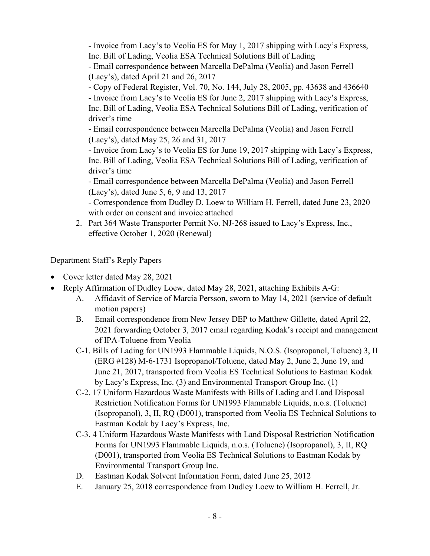- Invoice from Lacy's to Veolia ES for May 1, 2017 shipping with Lacy's Express, Inc. Bill of Lading, Veolia ESA Technical Solutions Bill of Lading

- Email correspondence between Marcella DePalma (Veolia) and Jason Ferrell (Lacy's), dated April 21 and 26, 2017

- Copy of Federal Register, Vol. 70, No. 144, July 28, 2005, pp. 43638 and 436640 - Invoice from Lacy's to Veolia ES for June 2, 2017 shipping with Lacy's Express, Inc. Bill of Lading, Veolia ESA Technical Solutions Bill of Lading, verification of driver's time

- Email correspondence between Marcella DePalma (Veolia) and Jason Ferrell (Lacy's), dated May 25, 26 and 31, 2017

- Invoice from Lacy's to Veolia ES for June 19, 2017 shipping with Lacy's Express, Inc. Bill of Lading, Veolia ESA Technical Solutions Bill of Lading, verification of driver's time

- Email correspondence between Marcella DePalma (Veolia) and Jason Ferrell (Lacy's), dated June 5, 6, 9 and 13, 2017

- Correspondence from Dudley D. Loew to William H. Ferrell, dated June 23, 2020 with order on consent and invoice attached

2. Part 364 Waste Transporter Permit No. NJ-268 issued to Lacy's Express, Inc., effective October 1, 2020 (Renewal)

# Department Staff's Reply Papers

- Cover letter dated May 28, 2021
- Reply Affirmation of Dudley Loew, dated May 28, 2021, attaching Exhibits A-G:
	- A. Affidavit of Service of Marcia Persson, sworn to May 14, 2021 (service of default motion papers)
	- B. Email correspondence from New Jersey DEP to Matthew Gillette, dated April 22, 2021 forwarding October 3, 2017 email regarding Kodak's receipt and management of IPA-Toluene from Veolia
	- C-1. Bills of Lading for UN1993 Flammable Liquids, N.O.S. (Isopropanol, Toluene) 3, II (ERG #128) M-6-1731 Isopropanol/Toluene, dated May 2, June 2, June 19, and June 21, 2017, transported from Veolia ES Technical Solutions to Eastman Kodak by Lacy's Express, Inc. (3) and Environmental Transport Group Inc. (1)
	- C-2. 17 Uniform Hazardous Waste Manifests with Bills of Lading and Land Disposal Restriction Notification Forms for UN1993 Flammable Liquids, n.o.s. (Toluene) (Isopropanol), 3, II, RQ (D001), transported from Veolia ES Technical Solutions to Eastman Kodak by Lacy's Express, Inc.
	- C-3. 4 Uniform Hazardous Waste Manifests with Land Disposal Restriction Notification Forms for UN1993 Flammable Liquids, n.o.s. (Toluene) (Isopropanol), 3, II, RQ (D001), transported from Veolia ES Technical Solutions to Eastman Kodak by Environmental Transport Group Inc.
	- D. Eastman Kodak Solvent Information Form, dated June 25, 2012
	- E. January 25, 2018 correspondence from Dudley Loew to William H. Ferrell, Jr.